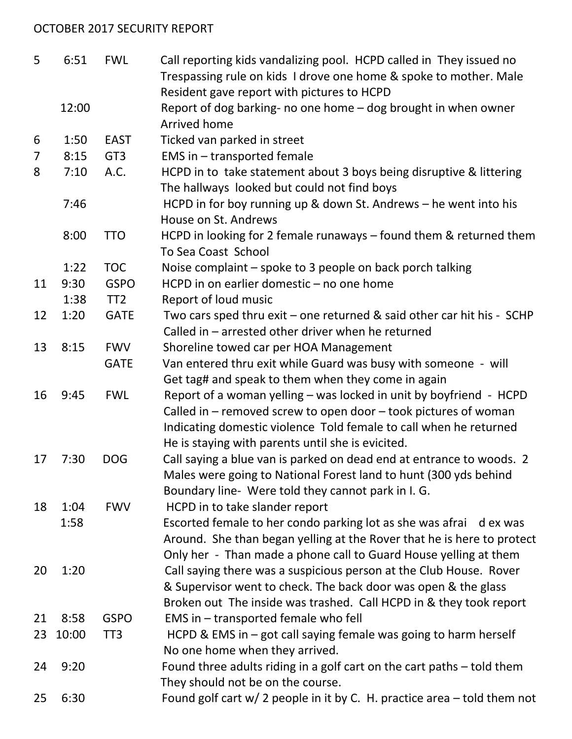## OCTOBER 2017 SECURITY REPORT

| 5  | 6:51  | <b>FWL</b>      | Call reporting kids vandalizing pool. HCPD called in They issued no                                                |
|----|-------|-----------------|--------------------------------------------------------------------------------------------------------------------|
|    |       |                 | Trespassing rule on kids I drove one home & spoke to mother. Male                                                  |
|    |       |                 | Resident gave report with pictures to HCPD                                                                         |
|    | 12:00 |                 | Report of dog barking- no one home - dog brought in when owner<br>Arrived home                                     |
| 6  | 1:50  | <b>EAST</b>     | Ticked van parked in street                                                                                        |
| 7  | 8:15  | GT <sub>3</sub> | EMS in - transported female                                                                                        |
| 8  | 7:10  | A.C.            | HCPD in to take statement about 3 boys being disruptive & littering<br>The hallways looked but could not find boys |
|    | 7:46  |                 | HCPD in for boy running up & down St. Andrews - he went into his<br>House on St. Andrews                           |
|    | 8:00  | <b>TTO</b>      | HCPD in looking for 2 female runaways - found them & returned them<br>To Sea Coast School                          |
|    | 1:22  | <b>TOC</b>      | Noise complaint - spoke to 3 people on back porch talking                                                          |
| 11 | 9:30  | <b>GSPO</b>     | HCPD in on earlier domestic - no one home                                                                          |
|    | 1:38  | TT <sub>2</sub> | Report of loud music                                                                                               |
| 12 | 1:20  | <b>GATE</b>     | Two cars sped thru exit - one returned & said other car hit his - SCHP                                             |
|    |       |                 | Called in - arrested other driver when he returned                                                                 |
| 13 | 8:15  | <b>FWV</b>      | Shoreline towed car per HOA Management                                                                             |
|    |       | <b>GATE</b>     | Van entered thru exit while Guard was busy with someone - will                                                     |
|    |       |                 | Get tag# and speak to them when they come in again                                                                 |
| 16 | 9:45  | <b>FWL</b>      | Report of a woman yelling - was locked in unit by boyfriend - HCPD                                                 |
|    |       |                 | Called in – removed screw to open door – took pictures of woman                                                    |
|    |       |                 | Indicating domestic violence Told female to call when he returned                                                  |
|    |       |                 | He is staying with parents until she is evicited.                                                                  |
| 17 | 7:30  | <b>DOG</b>      | Call saying a blue van is parked on dead end at entrance to woods. 2                                               |
|    |       |                 | Males were going to National Forest land to hunt (300 yds behind                                                   |
|    |       |                 | Boundary line- Were told they cannot park in I. G.                                                                 |
| 18 | 1:04  | <b>FWV</b>      | HCPD in to take slander report                                                                                     |
|    | 1:58  |                 | Escorted female to her condo parking lot as she was afrai d ex was                                                 |
|    |       |                 | Around. She than began yelling at the Rover that he is here to protect                                             |
|    |       |                 | Only her - Than made a phone call to Guard House yelling at them                                                   |
| 20 | 1:20  |                 | Call saying there was a suspicious person at the Club House. Rover                                                 |
|    |       |                 | & Supervisor went to check. The back door was open & the glass                                                     |
|    |       |                 | Broken out The inside was trashed. Call HCPD in & they took report                                                 |
| 21 | 8:58  | <b>GSPO</b>     | EMS in – transported female who fell                                                                               |
| 23 | 10:00 | TT <sub>3</sub> | HCPD & EMS in $-$ got call saying female was going to harm herself                                                 |
|    |       |                 | No one home when they arrived.                                                                                     |
| 24 | 9:20  |                 | Found three adults riding in a golf cart on the cart paths – told them                                             |
| 25 | 6:30  |                 | They should not be on the course.                                                                                  |
|    |       |                 | Found golf cart $w/2$ people in it by C. H. practice area $-$ told them not                                        |